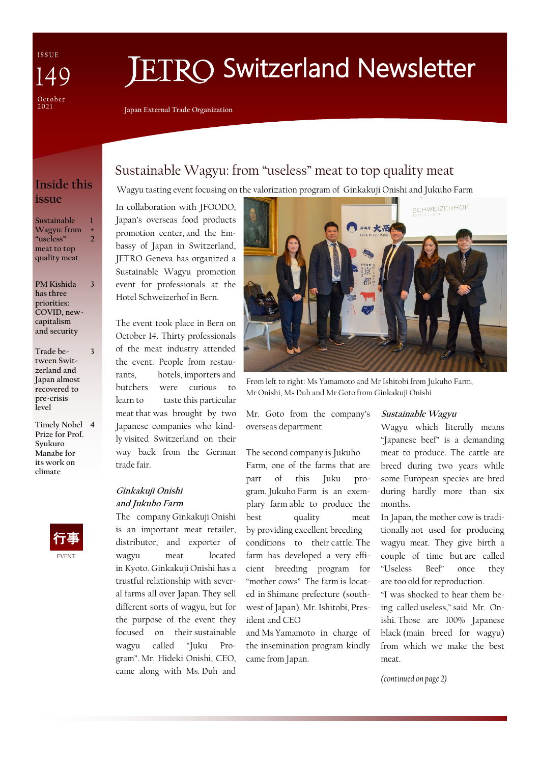ISSUE  $\Delta 0$ October<br>2021

# **IETRO Switzerland Newsletter**

**Japan External Trade Organization**

## **Inside this issue**

**Sustainable Wagyu: from "useless" meat to top quality meat 1 + 2**

**PM Kishida has three priorities: COVID, newcapitalism and security 3**

- **Trade between Switzerland and Japan almost recovered to pre-crisis level 3**
- **Timely Nobel 4 Prize for Prof. Syukuro Manabe for its work on climate**



## Sustainable Wagyu: from "useless" meat to top quality meat

Wagyu tasting event focusing on the valorization program of Ginkakuji Onishi and Jukuho Farm

In collaboration with JFOODO, Japan's overseas food products promotion center, and the Embassy of Japan in Switzerland, JETRO Geneva has organized a Sustainable Wagyu promotion event for professionals at the Hotel Schweizerhof in Bern.

The event took place in Bern on October 14. Thirty professionals of the meat industry attended the event. People from restaurants, hotels, importers and butchers were curious to learn to taste this particular meat that was brought by two Japanese companies who kindly visited Switzerland on their way back from the German trade fair.

#### **Ginkakuji Onishi and Jukuho Farm**

The company Ginkakuji Onishi is an important meat retailer, distributor, and exporter of wagyu meat located in Kyoto. Ginkakuji Onishi has a trustful relationship with several farms all over Japan. They sell different sorts of wagyu, but for the purpose of the event they focused on their sustainable wagyu called "Juku Program". Mr. Hideki Onishi, CEO, came along with Ms. Duh and



From left to right: Ms Yamamoto and Mr Ishitobi from Jukuho Farm, Mr Onishi, Ms Duh and Mr Goto from Ginkakuji Onishi

Mr. Goto from the company's overseas department.

The second company is Jukuho Farm, one of the farms that are part of this Juku program. Jukuho Farm is an exemplary farm able to produce the best quality meat by providing excellent breeding conditions to their cattle. The farm has developed a very efficient breeding program for "mother cows" The farm is located in Shimane prefecture (southwest of Japan). Mr. Ishitobi, President and CEO

and Ms Yamamoto in charge of the insemination program kindly came from Japan.

#### **Sustainable Wagyu**

Wagyu which literally means "Japanese beef" is a demanding meat to produce. The cattle are breed during two years while some European species are bred during hardly more than six months.

In Japan, the mother cow is traditionally not used for producing wagyu meat. They give birth a couple of time but are called "Useless Beef" once they are too old for reproduction.

"I was shocked to hear them being called useless," said Mr. Onishi. Those are 100% Japanese black (main breed for wagyu) from which we make the best meat.

*(continued on page 2)*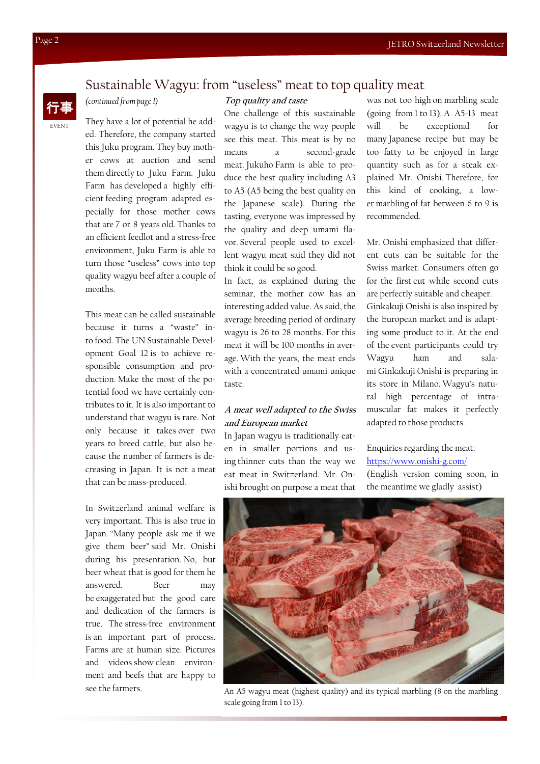### Sustainable Wagyu: from "useless" meat to top quality meat



#### *(continued from page 1)*

They have a lot of potential he added. Therefore, the company started this Juku program. They buy mother cows at auction and send them directly to Juku Farm. Juku Farm has developed a highly efficient feeding program adapted especially for those mother cows that are 7 or 8 years old. Thanks to an efficient feedlot and a stress-free environment, Juku Farm is able to turn those "useless" cows into top quality wagyu beef after a couple of months.

This meat can be called sustainable because it turns a "waste" into food. The UN Sustainable Development Goal 12 is to achieve responsible consumption and production. Make the most of the potential food we have certainly contributes to it. It is also important to understand that wagyu is rare. Not only because it takes over two years to breed cattle, but also because the number of farmers is decreasing in Japan. It is not a meat that can be mass-produced.

In Switzerland animal welfare is very important. This is also true in Japan. "Many people ask me if we give them beer" said Mr. Onishi during his presentation. No, but beer wheat that is good for them he answered. Beer may be exaggerated but the good care and dedication of the farmers is true. The stress-free environment is an important part of process. Farms are at human size. Pictures and videos show clean environment and beefs that are happy to see the farmers.

#### **Top quality and taste**

One challenge of this sustainable wagyu is to change the way people see this meat. This meat is by no means a second-grade meat. Jukuho Farm is able to produce the best quality including A3 to A5 (A5 being the best quality on the Japanese scale). During the tasting, everyone was impressed by the quality and deep umami flavor. Several people used to excellent wagyu meat said they did not think it could be so good.

In fact, as explained during the seminar, the mother cow has an interesting added value. As said, the average breeding period of ordinary wagyu is 26 to 28 months. For this meat it will be 100 months in average. With the years, the meat ends with a concentrated umami unique taste.

#### **A meat well adapted to the Swiss and European market**

In Japan wagyu is traditionally eaten in smaller portions and using thinner cuts than the way we eat meat in Switzerland. Mr. Onishi brought on purpose a meat that was not too high on marbling scale (going from 1 to 13). A A5-13 meat will be exceptional for many Japanese recipe but may be too fatty to be enjoyed in large quantity such as for a steak explained Mr. Onishi. Therefore, for this kind of cooking, a lower marbling of fat between 6 to 9 is recommended.

Mr. Onishi emphasized that different cuts can be suitable for the Swiss market. Consumers often go for the first cut while second cuts are perfectly suitable and cheaper. Ginkakuji Onishi is also inspired by the European market and is adapting some product to it. At the end of the event participants could try Wagyu ham and salami Ginkakuji Onishi is preparing in its store in Milano. Wagyu's natural high percentage of intramuscular fat makes it perfectly adapted to those products.

Enquiries regarding the meat: <https://www.onishi-g.com/> (English version coming soon, in the meantime we gladly assist)



An A5 wagyu meat (highest quality) and its typical marbling (8 on the marbling scale going from 1 to 13).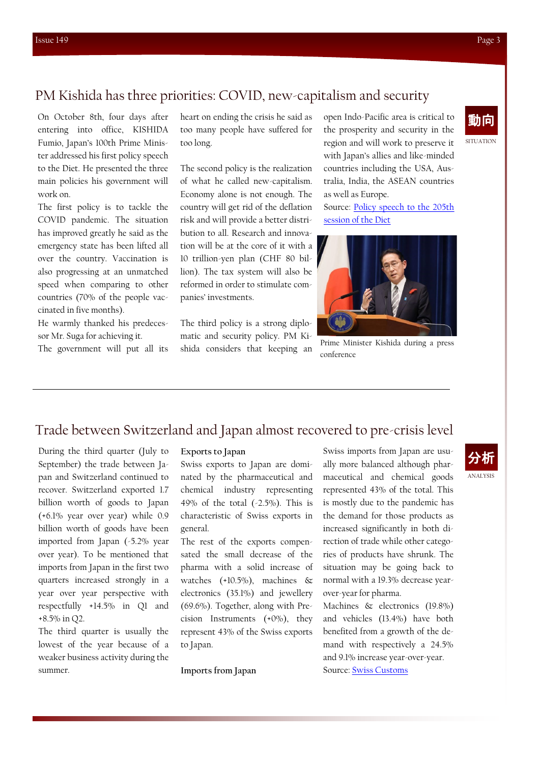## PM Kishida has three priorities: COVID, new-capitalism and security

On October 8th, four days after entering into office, KISHIDA Fumio, Japan's 100th Prime Minister addressed his first policy speech to the Diet. He presented the three main policies his government will work on.

The first policy is to tackle the COVID pandemic. The situation has improved greatly he said as the emergency state has been lifted all over the country. Vaccination is also progressing at an unmatched speed when comparing to other countries (70% of the people vaccinated in five months).

He warmly thanked his predecessor Mr. Suga for achieving it.

The government will put all its

heart on ending the crisis he said as too many people have suffered for too long.

The second policy is the realization of what he called new-capitalism. Economy alone is not enough. The country will get rid of the deflation risk and will provide a better distribution to all. Research and innovation will be at the core of it with a 10 trillion-yen plan (CHF 80 billion). The tax system will also be reformed in order to stimulate companies' investments.

The third policy is a strong diplomatic and security policy. PM Kishida considers that keeping an open Indo-Pacific area is critical to the prosperity and security in the region and will work to preserve it with Japan's allies and like-minded countries including the USA, Australia, India, the ASEAN countries as well as Europe.

Source: [Policy speech to the 205th](https://japan.kantei.go.jp/100_kishida/statement/202110/_00005.html)  [session of the Diet](https://japan.kantei.go.jp/100_kishida/statement/202110/_00005.html)



Prime Minister Kishida during a press conference

## Trade between Switzerland and Japan almost recovered to pre-crisis level

During the third quarter (July to September) the trade between Japan and Switzerland continued to recover. Switzerland exported 1.7 billion worth of goods to Japan (+6.1% year over year) while 0.9 billion worth of goods have been imported from Japan (-5.2% year over year). To be mentioned that imports from Japan in the first two quarters increased strongly in a year over year perspective with respectfully +14.5% in Q1 and +8.5% in Q2.

The third quarter is usually the lowest of the year because of a weaker business activity during the summer.

#### **Exports to Japan**

Swiss exports to Japan are dominated by the pharmaceutical and chemical industry representing 49% of the total (-2.5%). This is characteristic of Swiss exports in general.

The rest of the exports compensated the small decrease of the pharma with a solid increase of watches (+10.5%), machines & electronics (35.1%) and jewellery (69.6%). Together, along with Precision Instruments (+0%), they represent 43% of the Swiss exports to Japan.

**Imports from Japan**

Swiss imports from Japan are usually more balanced although pharmaceutical and chemical goods represented 43% of the total. This is mostly due to the pandemic has the demand for those products as increased significantly in both direction of trade while other categories of products have shrunk. The situation may be going back to normal with a 19.3% decrease yearover-year for pharma.

Machines & electronics (19.8%) and vehicles (13.4%) have both benefited from a growth of the demand with respectively a 24.5% and 9.1% increase year-over-year. Source: [Swiss Customs](https://www.ezv.admin.ch/ezv/fr/home/actualites/informations-destinees-aux-medias/medienmitteilungen.msg-id-85487.html)

## **SITUATION** 動向